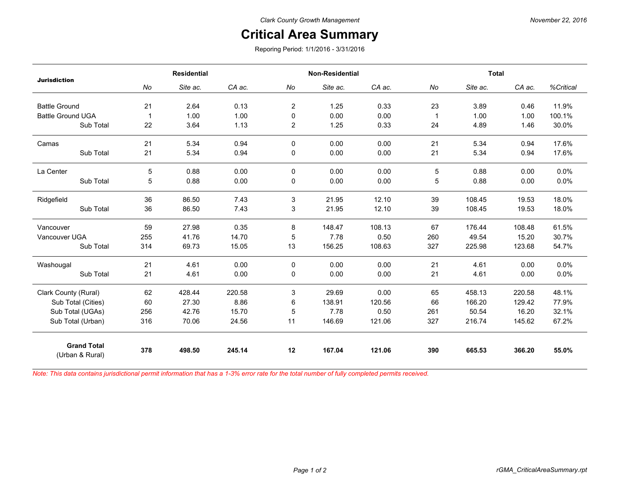## **Critical Area Summary**

Reporing Period: 1/1/2016 - 3/31/2016

| <b>Jurisdiction</b>                   | <b>Residential</b> |          |        | <b>Non-Residential</b> |          |        | <b>Total</b> |          |        |           |
|---------------------------------------|--------------------|----------|--------|------------------------|----------|--------|--------------|----------|--------|-----------|
|                                       | No                 | Site ac. | CA ac. | No                     | Site ac. | CA ac. | No           | Site ac. | CA ac. | %Critical |
| <b>Battle Ground</b>                  | 21                 | 2.64     | 0.13   | 2                      | 1.25     | 0.33   | 23           | 3.89     | 0.46   | 11.9%     |
| <b>Battle Ground UGA</b>              | 1                  | 1.00     | 1.00   | 0                      | 0.00     | 0.00   | 1            | 1.00     | 1.00   | 100.1%    |
| Sub Total                             | 22                 | 3.64     | 1.13   | $\overline{2}$         | 1.25     | 0.33   | 24           | 4.89     | 1.46   | 30.0%     |
| Camas                                 | 21                 | 5.34     | 0.94   | 0                      | 0.00     | 0.00   | 21           | 5.34     | 0.94   | 17.6%     |
| Sub Total                             | 21                 | 5.34     | 0.94   | 0                      | 0.00     | 0.00   | 21           | 5.34     | 0.94   | 17.6%     |
| La Center                             | 5                  | 0.88     | 0.00   | $\mathbf{0}$           | 0.00     | 0.00   | 5            | 0.88     | 0.00   | 0.0%      |
| Sub Total                             | 5                  | 0.88     | 0.00   | 0                      | 0.00     | 0.00   | 5            | 0.88     | 0.00   | 0.0%      |
| Ridgefield                            | 36                 | 86.50    | 7.43   | 3                      | 21.95    | 12.10  | 39           | 108.45   | 19.53  | 18.0%     |
| Sub Total                             | 36                 | 86.50    | 7.43   | 3                      | 21.95    | 12.10  | 39           | 108.45   | 19.53  | 18.0%     |
| Vancouver                             | 59                 | 27.98    | 0.35   | 8                      | 148.47   | 108.13 | 67           | 176.44   | 108.48 | 61.5%     |
| Vancouver UGA                         | 255                | 41.76    | 14.70  | 5                      | 7.78     | 0.50   | 260          | 49.54    | 15.20  | 30.7%     |
| Sub Total                             | 314                | 69.73    | 15.05  | 13                     | 156.25   | 108.63 | 327          | 225.98   | 123.68 | 54.7%     |
| Washougal                             | 21                 | 4.61     | 0.00   | 0                      | 0.00     | 0.00   | 21           | 4.61     | 0.00   | 0.0%      |
| Sub Total                             | 21                 | 4.61     | 0.00   | 0                      | 0.00     | 0.00   | 21           | 4.61     | 0.00   | 0.0%      |
| Clark County (Rural)                  | 62                 | 428.44   | 220.58 | 3                      | 29.69    | 0.00   | 65           | 458.13   | 220.58 | 48.1%     |
| Sub Total (Cities)                    | 60                 | 27.30    | 8.86   | 6                      | 138.91   | 120.56 | 66           | 166.20   | 129.42 | 77.9%     |
| Sub Total (UGAs)                      | 256                | 42.76    | 15.70  | 5                      | 7.78     | 0.50   | 261          | 50.54    | 16.20  | 32.1%     |
| Sub Total (Urban)                     | 316                | 70.06    | 24.56  | 11                     | 146.69   | 121.06 | 327          | 216.74   | 145.62 | 67.2%     |
| <b>Grand Total</b><br>(Urban & Rural) | 378                | 498.50   | 245.14 | 12                     | 167.04   | 121.06 | 390          | 665.53   | 366.20 | 55.0%     |

*Note: This data contains jurisdictional permit information that has a 1-3% error rate for the total number of fully completed permits received.*